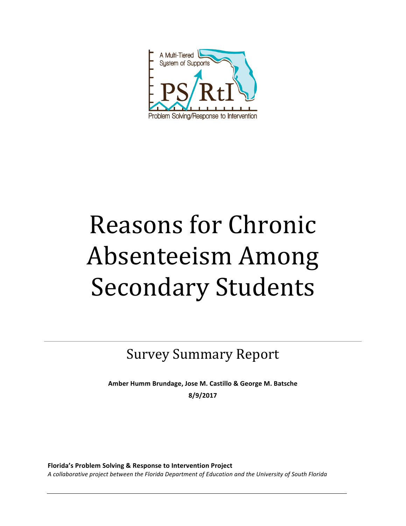

# Reasons for Chronic Absenteeism Among **Secondary Students**

Survey Summary Report

**Amber Humm Brundage, Jose M. Castillo & George M. Batsche 8/9/2017**

Florida's Problem Solving & Response to Intervention Project A collaborative project between the Florida Department of Education and the University of South Florida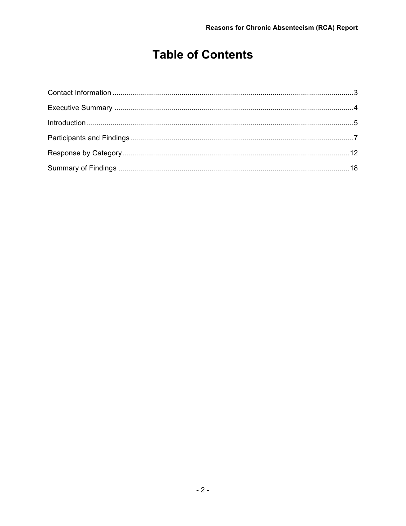# **Table of Contents**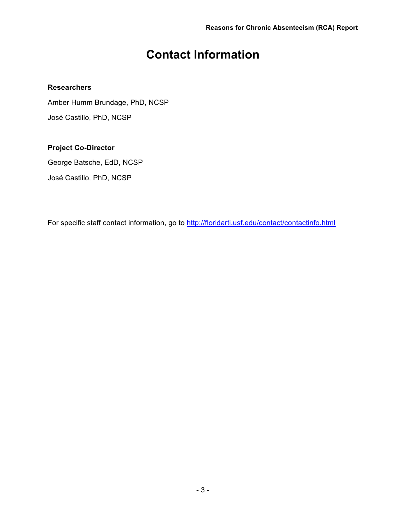# **Contact Information**

# **Researchers**

Amber Humm Brundage, PhD, NCSP José Castillo, PhD, NCSP

# **Project Co-Director**

George Batsche, EdD, NCSP José Castillo, PhD, NCSP

For specific staff contact information, go to http://floridarti.usf.edu/contact/contactinfo.html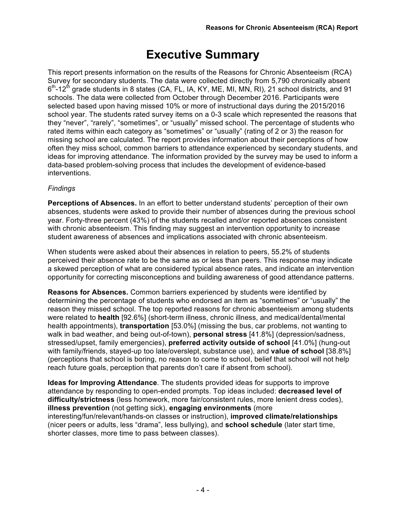# **Executive Summary**

This report presents information on the results of the Reasons for Chronic Absenteeism (RCA) Survey for secondary students. The data were collected directly from 5,790 chronically absent  $6<sup>th</sup>$ -12<sup>th</sup> grade students in 8 states (CA, FL, IA, KY, ME, MI, MN, RI), 21 school districts, and 91 schools. The data were collected from October through December 2016. Participants were selected based upon having missed 10% or more of instructional days during the 2015/2016 school year. The students rated survey items on a 0-3 scale which represented the reasons that they "never", "rarely", "sometimes", or "usually" missed school. The percentage of students who rated items within each category as "sometimes" or "usually" (rating of 2 or 3) the reason for missing school are calculated. The report provides information about their perceptions of how often they miss school, common barriers to attendance experienced by secondary students, and ideas for improving attendance. The information provided by the survey may be used to inform a data-based problem-solving process that includes the development of evidence-based interventions.

# *Findings*

**Perceptions of Absences.** In an effort to better understand students' perception of their own absences, students were asked to provide their number of absences during the previous school year. Forty-three percent (43%) of the students recalled and/or reported absences consistent with chronic absenteeism. This finding may suggest an intervention opportunity to increase student awareness of absences and implications associated with chronic absenteeism.

When students were asked about their absences in relation to peers, 55.2% of students perceived their absence rate to be the same as or less than peers. This response may indicate a skewed perception of what are considered typical absence rates, and indicate an intervention opportunity for correcting misconceptions and building awareness of good attendance patterns.

**Reasons for Absences.** Common barriers experienced by students were identified by determining the percentage of students who endorsed an item as "sometimes" or "usually" the reason they missed school. The top reported reasons for chronic absenteeism among students were related to **health** [92.6%] (short-term illness, chronic illness, and medical/dental/mental health appointments), **transportation** [53.0%] (missing the bus, car problems, not wanting to walk in bad weather, and being out-of-town), **personal stress** [41.8%] (depression/sadness, stressed/upset, family emergencies), **preferred activity outside of school** [41.0%] (hung-out with family/friends, stayed-up too late/overslept, substance use), and **value of school** [38.8%] (perceptions that school is boring, no reason to come to school, belief that school will not help reach future goals, perception that parents don't care if absent from school).

**Ideas for Improving Attendance**. The students provided ideas for supports to improve attendance by responding to open-ended prompts. Top ideas included: **decreased level of difficulty/strictness** (less homework, more fair/consistent rules, more lenient dress codes), **illness prevention** (not getting sick), **engaging environments** (more interesting/fun/relevant/hands-on classes or instruction), **improved climate/relationships** (nicer peers or adults, less "drama", less bullying), and **school schedule** (later start time, shorter classes, more time to pass between classes).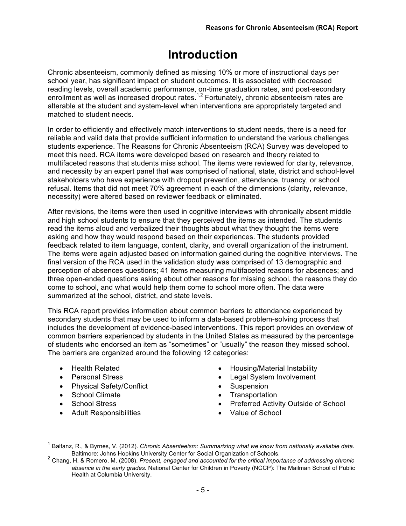# **Introduction**

Chronic absenteeism, commonly defined as missing 10% or more of instructional days per school year, has significant impact on student outcomes. It is associated with decreased reading levels, overall academic performance, on-time graduation rates, and post-secondary enrollment as well as increased dropout rates.<sup>1,2</sup> Fortunately, chronic absenteeism rates are alterable at the student and system-level when interventions are appropriately targeted and matched to student needs.

In order to efficiently and effectively match interventions to student needs, there is a need for reliable and valid data that provide sufficient information to understand the various challenges students experience. The Reasons for Chronic Absenteeism (RCA) Survey was developed to meet this need. RCA items were developed based on research and theory related to multifaceted reasons that students miss school. The items were reviewed for clarity, relevance, and necessity by an expert panel that was comprised of national, state, district and school-level stakeholders who have experience with dropout prevention, attendance, truancy, or school refusal. Items that did not meet 70% agreement in each of the dimensions (clarity, relevance, necessity) were altered based on reviewer feedback or eliminated.

After revisions, the items were then used in cognitive interviews with chronically absent middle and high school students to ensure that they perceived the items as intended. The students read the items aloud and verbalized their thoughts about what they thought the items were asking and how they would respond based on their experiences. The students provided feedback related to item language, content, clarity, and overall organization of the instrument. The items were again adjusted based on information gained during the cognitive interviews. The final version of the RCA used in the validation study was comprised of 13 demographic and perception of absences questions; 41 items measuring multifaceted reasons for absences; and three open-ended questions asking about other reasons for missing school, the reasons they do come to school, and what would help them come to school more often. The data were summarized at the school, district, and state levels.

This RCA report provides information about common barriers to attendance experienced by secondary students that may be used to inform a data-based problem-solving process that includes the development of evidence-based interventions. This report provides an overview of common barriers experienced by students in the United States as measured by the percentage of students who endorsed an item as "sometimes" or "usually" the reason they missed school. The barriers are organized around the following 12 categories:

- Health Related
- Personal Stress
- Physical Safety/Conflict
- School Climate
- School Stress
- Adult Responsibilities
- Housing/Material Instability
- Legal System Involvement
- Suspension
- Transportation
- Preferred Activity Outside of School
- Value of School

 <sup>1</sup> Balfanz, R., & Byrnes, V. (2012). *Chronic Absenteeism: Summarizing what we know from nationally available data.* Baltimore: Johns Hopkins University Center for Social Organization of Schools. <sup>2</sup> Chang, H. & Romero, M. (2008). *Present, engaged and accounted for the critical importance of addressing chronic* 

*absence in the early grades.* National Center for Children in Poverty (NCCP): The Mailman School of Public Health at Columbia University.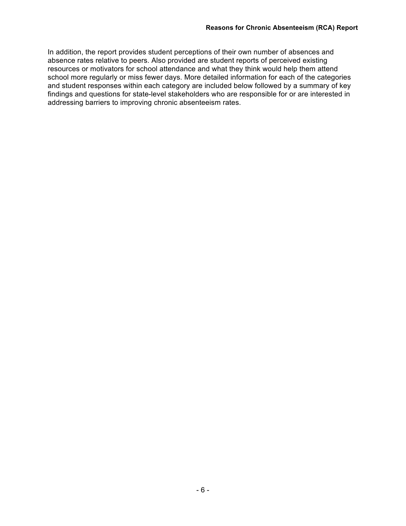In addition, the report provides student perceptions of their own number of absences and absence rates relative to peers. Also provided are student reports of perceived existing resources or motivators for school attendance and what they think would help them attend school more regularly or miss fewer days. More detailed information for each of the categories and student responses within each category are included below followed by a summary of key findings and questions for state-level stakeholders who are responsible for or are interested in addressing barriers to improving chronic absenteeism rates.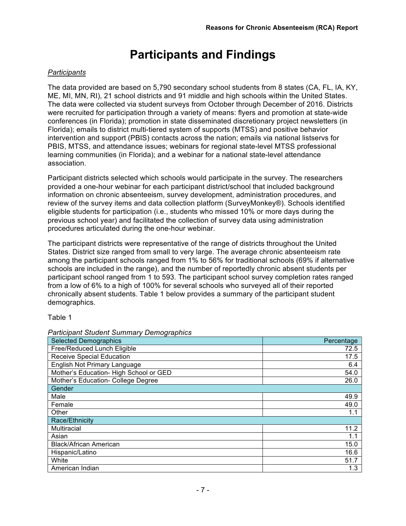# **Participants and Findings**

# *Participants*

The data provided are based on 5,790 secondary school students from 8 states (CA, FL, IA, KY, ME, MI, MN, RI), 21 school districts and 91 middle and high schools within the United States. The data were collected via student surveys from October through December of 2016. Districts were recruited for participation through a variety of means: flyers and promotion at state-wide conferences (in Florida); promotion in state disseminated discretionary project newsletters (in Florida); emails to district multi-tiered system of supports (MTSS) and positive behavior intervention and support (PBIS) contacts across the nation; emails via national listservs for PBIS, MTSS, and attendance issues; webinars for regional state-level MTSS professional learning communities (in Florida); and a webinar for a national state-level attendance association.

Participant districts selected which schools would participate in the survey. The researchers provided a one-hour webinar for each participant district/school that included background information on chronic absenteeism, survey development, administration procedures, and review of the survey items and data collection platform (SurveyMonkey®). Schools identified eligible students for participation (i.e., students who missed 10% or more days during the previous school year) and facilitated the collection of survey data using administration procedures articulated during the one-hour webinar.

The participant districts were representative of the range of districts throughout the United States. District size ranged from small to very large. The average chronic absenteeism rate among the participant schools ranged from 1% to 56% for traditional schools (69% if alternative schools are included in the range), and the number of reportedly chronic absent students per participant school ranged from 1 to 593. The participant school survey completion rates ranged from a low of 6% to a high of 100% for several schools who surveyed all of their reported chronically absent students. Table 1 below provides a summary of the participant student demographics.

## Table 1

| <b>Selected Demographics</b>           | Percentage |
|----------------------------------------|------------|
| Free/Reduced Lunch Eligible            | 72.5       |
| <b>Receive Special Education</b>       | 17.5       |
| English Not Primary Language           | 6.4        |
| Mother's Education- High School or GED | 54.0       |
| Mother's Education- College Degree     | 26.0       |
| Gender                                 |            |
| Male                                   | 49.9       |
| Female                                 | 49.0       |
| Other                                  | 1.1        |
| Race/Ethnicity                         |            |
| Multiracial                            | 11.2       |
| Asian                                  | 1.1        |
| <b>Black/African American</b>          | 15.0       |
| Hispanic/Latino                        | 16.6       |
| White                                  | 51.7       |
| American Indian                        | 1.3        |

#### *Participant Student Summary Demographics*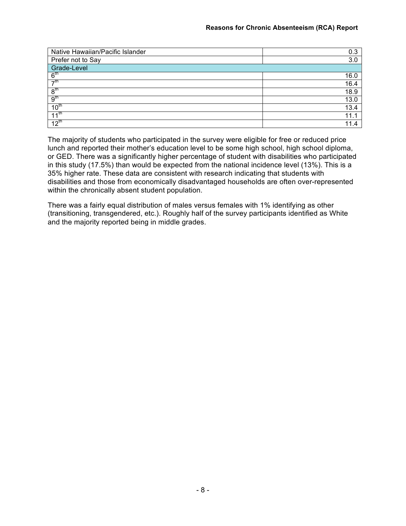| Native Hawaiian/Pacific Islander | 0.3       |
|----------------------------------|-----------|
| Prefer not to Say                | 3.0       |
| Grade-Level                      |           |
| 6 <sup>th</sup>                  | 16.0      |
| $\overline{\mathcal{F}}$ th      | 16.4      |
| 8 <sup>th</sup>                  | 18.9      |
| 9 <sup>th</sup>                  | 13.0      |
| 10 <sup>th</sup>                 | 13.4      |
| 11 <sup>th</sup>                 | 11.       |
| 12 <sup>th</sup>                 | 11.<br>.4 |

The majority of students who participated in the survey were eligible for free or reduced price lunch and reported their mother's education level to be some high school, high school diploma, or GED. There was a significantly higher percentage of student with disabilities who participated in this study (17.5%) than would be expected from the national incidence level (13%). This is a 35% higher rate. These data are consistent with research indicating that students with disabilities and those from economically disadvantaged households are often over-represented within the chronically absent student population.

There was a fairly equal distribution of males versus females with 1% identifying as other (transitioning, transgendered, etc.). Roughly half of the survey participants identified as White and the majority reported being in middle grades.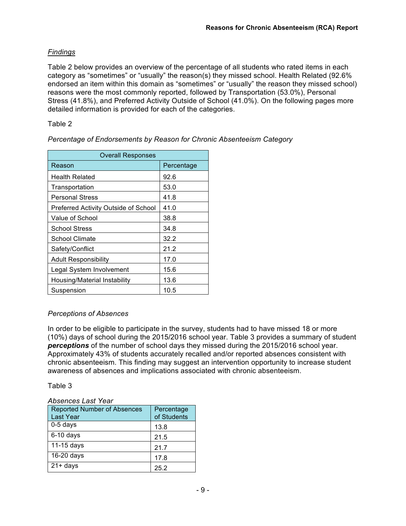# *Findings*

Table 2 below provides an overview of the percentage of all students who rated items in each category as "sometimes" or "usually" the reason(s) they missed school. Health Related (92.6% endorsed an item within this domain as "sometimes" or "usually" the reason they missed school) reasons were the most commonly reported, followed by Transportation (53.0%), Personal Stress (41.8%), and Preferred Activity Outside of School (41.0%). On the following pages more detailed information is provided for each of the categories.

# Table 2

| <b>Overall Responses</b>             |            |
|--------------------------------------|------------|
| Reason                               | Percentage |
| <b>Health Related</b>                | 92.6       |
| Transportation                       | 53.0       |
| <b>Personal Stress</b>               | 41.8       |
| Preferred Activity Outside of School | 41.0       |
| Value of School                      | 38.8       |
| School Stress                        | 34.8       |
| <b>School Climate</b>                | 32.2       |
| Safety/Conflict                      | 21.2       |
| <b>Adult Responsibility</b>          | 17.0       |
| Legal System Involvement             | 15.6       |
| Housing/Material Instability         | 13.6       |
| Suspension                           | 10.5       |

*Percentage of Endorsements by Reason for Chronic Absenteeism Category*

# *Perceptions of Absences*

In order to be eligible to participate in the survey, students had to have missed 18 or more (10%) days of school during the 2015/2016 school year. Table 3 provides a summary of student *perceptions* of the number of school days they missed during the 2015/2016 school year. Approximately 43% of students accurately recalled and/or reported absences consistent with chronic absenteeism. This finding may suggest an intervention opportunity to increase student awareness of absences and implications associated with chronic absenteeism.

## Table 3

## *Absences Last Year*

| <b>Reported Number of Absences</b><br>Last Year | Percentage<br>of Students |
|-------------------------------------------------|---------------------------|
| $0-5$ days                                      | 13.8                      |
| $6-10$ days                                     | 21.5                      |
| 11-15 days                                      | 21.7                      |
| 16-20 days                                      | 17.8                      |
| $21 + days$                                     | 25.2                      |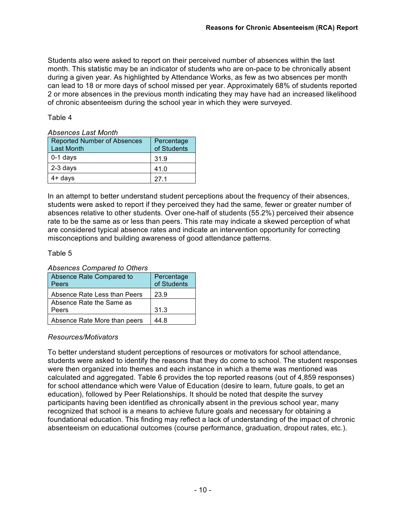Students also were asked to report on their perceived number of absences within the last month. This statistic may be an indicator of students who are on-pace to be chronically absent during a given year. As highlighted by Attendance Works, as few as two absences per month can lead to 18 or more days of school missed per year. Approximately 68% of students reported 2 or more absences in the previous month indicating they may have had an increased likelihood of chronic absenteeism during the school year in which they were surveyed.

#### Table 4

#### *Absences Last Month*

| <b>Reported Number of Absences</b><br><b>Last Month</b> | Percentage<br>of Students |
|---------------------------------------------------------|---------------------------|
| $0-1$ days                                              | 31.9                      |
| 2-3 days                                                | 41.0                      |
| $4+$ days                                               | 27 <sub>1</sub>           |

In an attempt to better understand student perceptions about the frequency of their absences, students were asked to report if they perceived they had the same, fewer or greater number of absences relative to other students. Over one-half of students (55.2%) perceived their absence rate to be the same as or less than peers. This rate may indicate a skewed perception of what are considered typical absence rates and indicate an intervention opportunity for correcting misconceptions and building awareness of good attendance patterns.

#### Table 5

#### Absence Rate Compared to **Peers** Percentage of Students Absence Rate Less than Peers | 23.9 Absence Rate the Same as Peers 31.3 Absence Rate More than peers  $\vert$  44.8

## *Absences Compared to Others*

# *Resources/Motivators*

To better understand student perceptions of resources or motivators for school attendance, students were asked to identify the reasons that they do come to school. The student responses were then organized into themes and each instance in which a theme was mentioned was calculated and aggregated. Table 6 provides the top reported reasons (out of 4,859 responses) for school attendance which were Value of Education (desire to learn, future goals, to get an education), followed by Peer Relationships. It should be noted that despite the survey participants having been identified as chronically absent in the previous school year, many recognized that school is a means to achieve future goals and necessary for obtaining a foundational education. This finding may reflect a lack of understanding of the impact of chronic absenteeism on educational outcomes (course performance, graduation, dropout rates, etc.).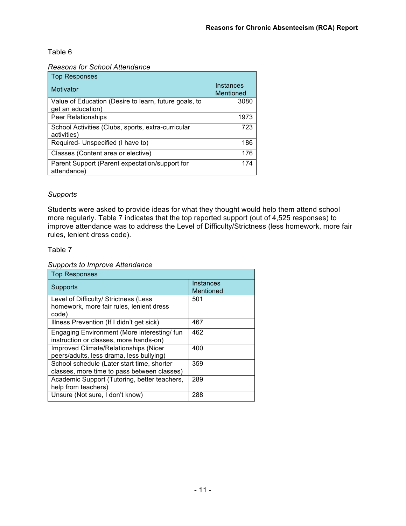# Table 6

#### *Reasons for School Attendance*

| <b>Top Responses</b>                                                       |                        |
|----------------------------------------------------------------------------|------------------------|
| Motivator                                                                  | Instances<br>Mentioned |
| Value of Education (Desire to learn, future goals, to<br>get an education) | 3080                   |
| <b>Peer Relationships</b>                                                  | 1973                   |
| School Activities (Clubs, sports, extra-curricular<br>activities)          | 723                    |
| Required- Unspecified (I have to)                                          | 186                    |
| Classes (Content area or elective)                                         | 176                    |
| Parent Support (Parent expectation/support for<br>attendance)              | 174                    |

# *Supports*

Students were asked to provide ideas for what they thought would help them attend school more regularly. Table 7 indicates that the top reported support (out of 4,525 responses) to improve attendance was to address the Level of Difficulty/Strictness (less homework, more fair rules, lenient dress code).

## Table 7

#### *Supports to Improve Attendance*

| <b>Top Responses</b>                                                                       |                        |
|--------------------------------------------------------------------------------------------|------------------------|
| Supports                                                                                   | Instances<br>Mentioned |
| Level of Difficulty/ Strictness (Less<br>homework, more fair rules, lenient dress<br>code) | 501                    |
| Illness Prevention (If I didn't get sick)                                                  | 467                    |
| Engaging Environment (More interesting/fun<br>instruction or classes, more hands-on)       | 462                    |
| Improved Climate/Relationships (Nicer<br>peers/adults, less drama, less bullying)          | 400                    |
| School schedule (Later start time, shorter<br>classes, more time to pass between classes)  | 359                    |
| Academic Support (Tutoring, better teachers,<br>help from teachers)                        | 289                    |
| Unsure (Not sure, I don't know)                                                            | 288                    |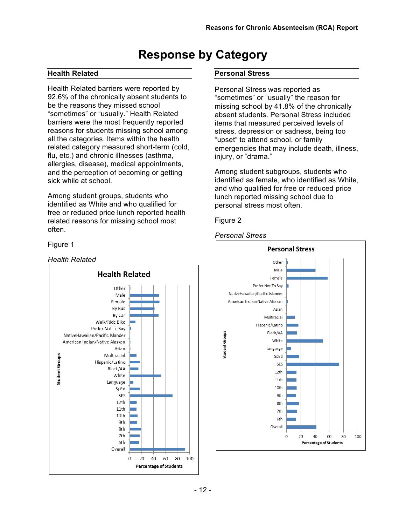# **Response by Category**

# **Health Related**

Health Related barriers were reported by 92.6% of the chronically absent students to be the reasons they missed school "sometimes" or "usually." Health Related barriers were the most frequently reported reasons for students missing school among all the categories. Items within the health related category measured short-term (cold, flu, etc.) and chronic illnesses (asthma, allergies, disease), medical appointments, and the perception of becoming or getting sick while at school.

Among student groups, students who identified as White and who qualified for free or reduced price lunch reported health related reasons for missing school most often.

## Figure 1

#### *Health Related*



#### **Personal Stress**

Personal Stress was reported as "sometimes" or "usually" the reason for missing school by 41.8% of the chronically absent students. Personal Stress included items that measured perceived levels of stress, depression or sadness, being too "upset" to attend school, or family emergencies that may include death, illness, injury, or "drama."

Among student subgroups, students who identified as female, who identified as White, and who qualified for free or reduced price lunch reported missing school due to personal stress most often.

#### Figure 2

#### *Personal Stress*

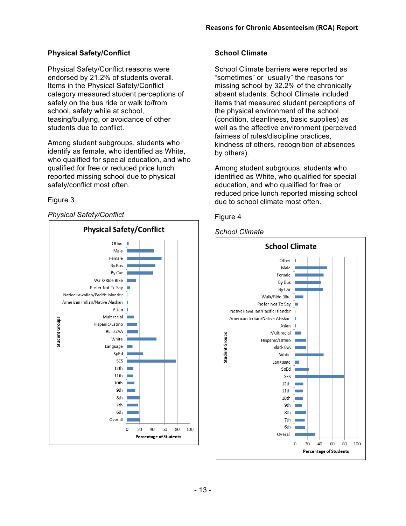# **Physical Safety/Conflict**

Physical Safety/Conflict reasons were endorsed by 21.2% of students overall. Items in the Physical Safety/Conflict category measured student perceptions of safety on the bus ride or walk to/from school, safety while at school, teasing/bullying, or avoidance of other students due to conflict.

Among student subgroups, students who identify as female, who identified as White, who qualified for special education, and who qualified for free or reduced price lunch reported missing school due to physical safety/conflict most often.

# Figure 3

## *Physical Safety/Conflict*



# **School Climate**

School Climate barriers were reported as "sometimes" or "usually" the reasons for missing school by 32.2% of the chronically absent students. School Climate included items that measured student perceptions of the physical environment of the school (condition, cleanliness, basic supplies) as well as the affective environment (perceived fairness of rules/discipline practices, kindness of others, recognition of absences by others).

Among student subgroups, students who identified as White, who qualified for special education, and who qualified for free or reduced price lunch reported missing school due to school climate most often.



# *School Climate*

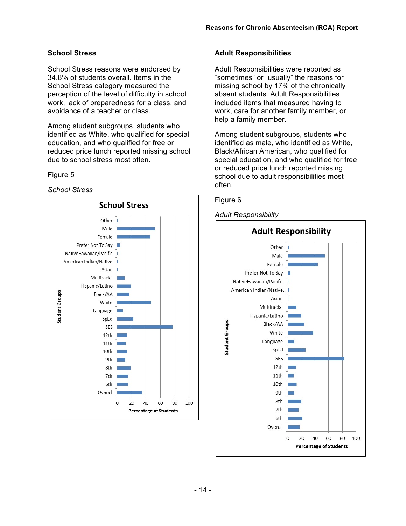# **School Stress**

School Stress reasons were endorsed by 34.8% of students overall. Items in the School Stress category measured the perception of the level of difficulty in school work, lack of preparedness for a class, and avoidance of a teacher or class.

Among student subgroups, students who identified as White, who qualified for special education, and who qualified for free or reduced price lunch reported missing school due to school stress most often.

#### Figure 5

#### *School Stress*



#### **Adult Responsibilities**

Adult Responsibilities were reported as "sometimes" or "usually" the reasons for missing school by 17% of the chronically absent students. Adult Responsibilities included items that measured having to work, care for another family member, or help a family member.

Among student subgroups, students who identified as male, who identified as White, Black/African American, who qualified for special education, and who qualified for free or reduced price lunch reported missing school due to adult responsibilities most often.



#### *Adult Responsibility*

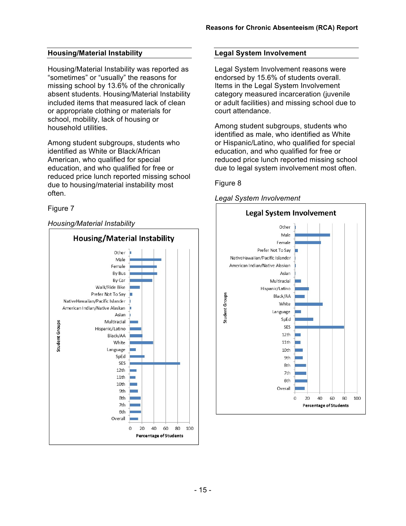# **Housing/Material Instability**

Housing/Material Instability was reported as "sometimes" or "usually" the reasons for missing school by 13.6% of the chronically absent students. Housing/Material Instability included items that measured lack of clean or appropriate clothing or materials for school, mobility, lack of housing or household utilities.

Among student subgroups, students who identified as White or Black/African American, who qualified for special education, and who qualified for free or reduced price lunch reported missing school due to housing/material instability most often.

# Figure 7

# *Housing/Material Instability*



# **Legal System Involvement**

Legal System Involvement reasons were endorsed by 15.6% of students overall. Items in the Legal System Involvement category measured incarceration (juvenile or adult facilities) and missing school due to court attendance.

Among student subgroups, students who identified as male, who identified as White or Hispanic/Latino, who qualified for special education, and who qualified for free or reduced price lunch reported missing school due to legal system involvement most often.

# Figure 8

#### *Legal System Involvement*

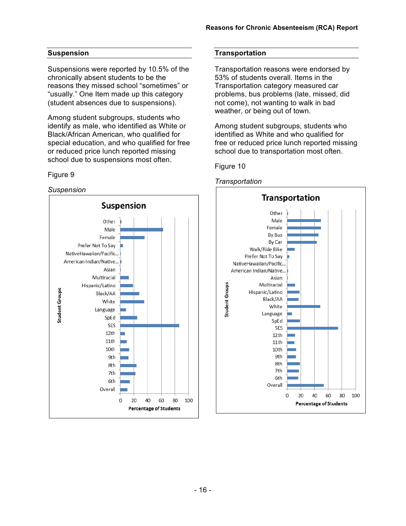## **Suspension**

Suspensions were reported by 10.5% of the chronically absent students to be the reasons they missed school "sometimes" or "usually." One Item made up this category (student absences due to suspensions).

Among student subgroups, students who identify as male, who identified as White or Black/African American, who qualified for special education, and who qualified for free or reduced price lunch reported missing school due to suspensions most often.

#### Figure 9

#### *Suspension*



#### **Transportation**

Transportation reasons were endorsed by 53% of students overall. Items in the Transportation category measured car problems, bus problems (late, missed, did not come), not wanting to walk in bad weather, or being out of town.

Among student subgroups, students who identified as White and who qualified for free or reduced price lunch reported missing school due to transportation most often.

#### Figure 10



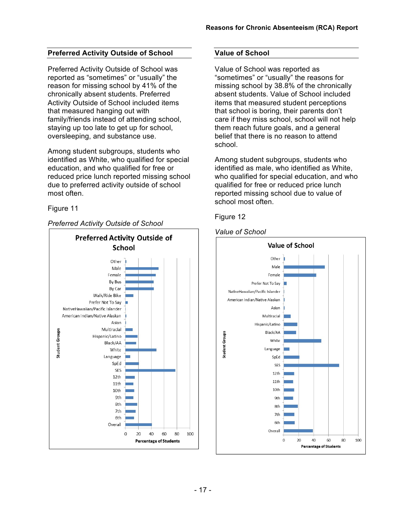# **Preferred Activity Outside of School**

Preferred Activity Outside of School was reported as "sometimes" or "usually" the reason for missing school by 41% of the chronically absent students. Preferred Activity Outside of School included items that measured hanging out with family/friends instead of attending school, staying up too late to get up for school, oversleeping, and substance use.

Among student subgroups, students who identified as White, who qualified for special education, and who qualified for free or reduced price lunch reported missing school due to preferred activity outside of school most often.

Figure 11

# *Preferred Activity Outside of School*



# **Value of School**

Value of School was reported as "sometimes" or "usually" the reasons for missing school by 38.8% of the chronically absent students. Value of School included items that measured student perceptions that school is boring, their parents don't care if they miss school, school will not help them reach future goals, and a general belief that there is no reason to attend school.

Among student subgroups, students who identified as male, who identified as White, who qualified for special education, and who qualified for free or reduced price lunch reported missing school due to value of school most often.

Figure 12

# *Value of School*

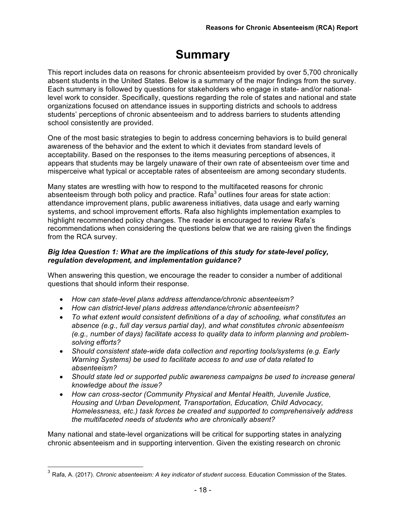# **Summary**

This report includes data on reasons for chronic absenteeism provided by over 5,700 chronically absent students in the United States. Below is a summary of the major findings from the survey. Each summary is followed by questions for stakeholders who engage in state- and/or nationallevel work to consider. Specifically, questions regarding the role of states and national and state organizations focused on attendance issues in supporting districts and schools to address students' perceptions of chronic absenteeism and to address barriers to students attending school consistently are provided.

One of the most basic strategies to begin to address concerning behaviors is to build general awareness of the behavior and the extent to which it deviates from standard levels of acceptability. Based on the responses to the items measuring perceptions of absences, it appears that students may be largely unaware of their own rate of absenteeism over time and misperceive what typical or acceptable rates of absenteeism are among secondary students.

Many states are wrestling with how to respond to the multifaceted reasons for chronic absenteeism through both policy and practice. Rafa<sup>3</sup> outlines four areas for state action: attendance improvement plans, public awareness initiatives, data usage and early warning systems, and school improvement efforts. Rafa also highlights implementation examples to highlight recommended policy changes. The reader is encouraged to review Rafa's recommendations when considering the questions below that we are raising given the findings from the RCA survey.

## *Big Idea Question 1: What are the implications of this study for state-level policy, regulation development, and implementation guidance?*

When answering this question, we encourage the reader to consider a number of additional questions that should inform their response.

- *How can state-level plans address attendance/chronic absenteeism?*
- *How can district-level plans address attendance/chronic absenteeism?*
- *To what extent would consistent definitions of a day of schooling, what constitutes an absence (e.g., full day versus partial day), and what constitutes chronic absenteeism (e.g., number of days) facilitate access to quality data to inform planning and problemsolving efforts?*
- *Should consistent state-wide data collection and reporting tools/systems (e.g. Early Warning Systems) be used to facilitate access to and use of data related to absenteeism?*
- *Should state led or supported public awareness campaigns be used to increase general knowledge about the issue?*
- *How can cross-sector (Community Physical and Mental Health, Juvenile Justice, Housing and Urban Development, Transportation, Education, Child Advocacy, Homelessness, etc.) task forces be created and supported to comprehensively address the multifaceted needs of students who are chronically absent?*

Many national and state-level organizations will be critical for supporting states in analyzing chronic absenteeism and in supporting intervention. Given the existing research on chronic

<sup>&</sup>lt;sup>3</sup> Rafa, A. (2017). *Chronic absenteeism: A key indicator of student success.* Education Commission of the States.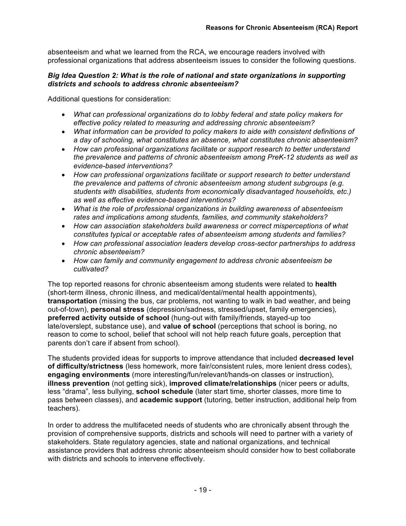absenteeism and what we learned from the RCA, we encourage readers involved with professional organizations that address absenteeism issues to consider the following questions.

## *Big Idea Question 2: What is the role of national and state organizations in supporting districts and schools to address chronic absenteeism?*

Additional questions for consideration:

- *What can professional organizations do to lobby federal and state policy makers for effective policy related to measuring and addressing chronic absenteeism?*
- *What information can be provided to policy makers to aide with consistent definitions of a day of schooling, what constitutes an absence, what constitutes chronic absenteeism?*
- *How can professional organizations facilitate or support research to better understand the prevalence and patterns of chronic absenteeism among PreK-12 students as well as evidence-based interventions?*
- *How can professional organizations facilitate or support research to better understand the prevalence and patterns of chronic absenteeism among student subgroups (e.g. students with disabilities, students from economically disadvantaged households, etc.) as well as effective evidence-based interventions?*
- *What is the role of professional organizations in building awareness of absenteeism rates and implications among students, families, and community stakeholders?*
- *How can association stakeholders build awareness or correct misperceptions of what constitutes typical or acceptable rates of absenteeism among students and families?*
- *How can professional association leaders develop cross-sector partnerships to address chronic absenteeism?*
- *How can family and community engagement to address chronic absenteeism be cultivated?*

The top reported reasons for chronic absenteeism among students were related to **health** (short-term illness, chronic illness, and medical/dental/mental health appointments), **transportation** (missing the bus, car problems, not wanting to walk in bad weather, and being out-of-town), **personal stress** (depression/sadness, stressed/upset, family emergencies), **preferred activity outside of school** (hung-out with family/friends, stayed-up too late/overslept, substance use), and **value of school** (perceptions that school is boring, no reason to come to school, belief that school will not help reach future goals, perception that parents don't care if absent from school).

The students provided ideas for supports to improve attendance that included **decreased level of difficulty/strictness** (less homework, more fair/consistent rules, more lenient dress codes), **engaging environments** (more interesting/fun/relevant/hands-on classes or instruction), **illness prevention** (not getting sick), **improved climate/relationships** (nicer peers or adults, less "drama", less bullying, **school schedule** (later start time, shorter classes, more time to pass between classes), and **academic support** (tutoring, better instruction, additional help from teachers).

In order to address the multifaceted needs of students who are chronically absent through the provision of comprehensive supports, districts and schools will need to partner with a variety of stakeholders. State regulatory agencies, state and national organizations, and technical assistance providers that address chronic absenteeism should consider how to best collaborate with districts and schools to intervene effectively.